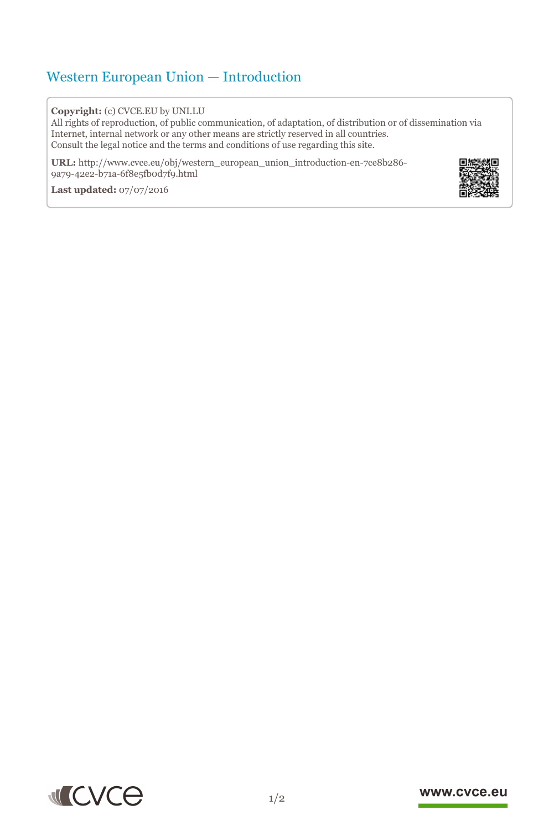## Western European Union — Introduction

## **Copyright:** (c) CVCE.EU by UNI.LU

All rights of reproduction, of public communication, of adaptation, of distribution or of dissemination via Internet, internal network or any other means are strictly reserved in all countries. Consult the legal notice and the terms and conditions of use regarding this site.

**URL:** http://www.cvce.eu/obj/western\_european\_union\_introduction-en-7ce8b286- 9a79-42e[2-b71a-6f8e5fb0d7f9.html](http://www.cvce.eu/obj/western_european_union_introduction-en-7ce8b286-9a79-42e2-b71a-6f8e5fb0d7f9.html)

**Las[t updated:](http://www.cvce.eu/obj/western_european_union_introduction-en-7ce8b286-9a79-42e2-b71a-6f8e5fb0d7f9.html)** 07/07/2016